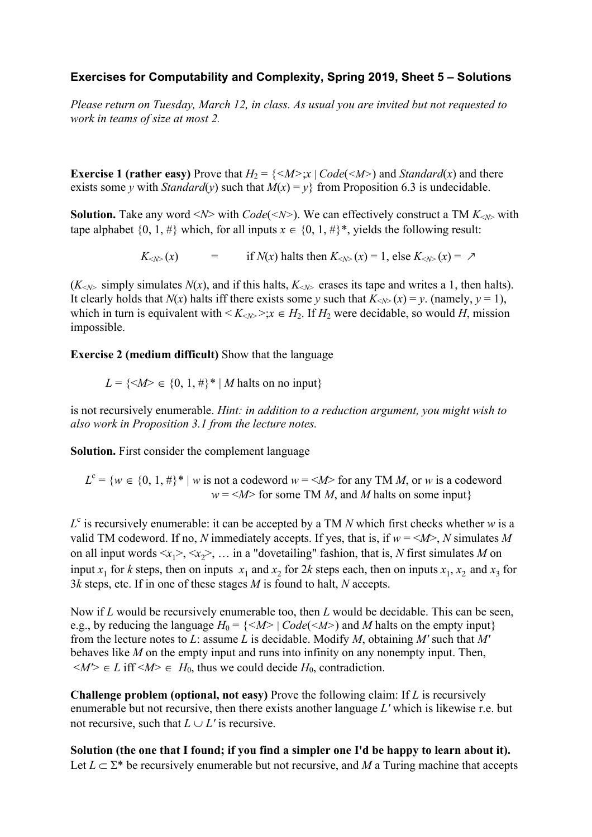## **Exercises for Computability and Complexity, Spring 2019, Sheet 5 – Solutions**

*Please return on Tuesday, March 12, in class. As usual you are invited but not requested to work in teams of size at most 2.* 

**Exercise 1 (rather easy)** Prove that  $H_2 = \{ \langle M \rangle : x \mid Code(\langle M \rangle) \}$  and *Standard*(*x*) and there exists some *y* with *Standard*(*y*) such that  $M(x) = y$  from Proposition 6.3 is undecidable.

**Solution.** Take any word  $\langle N \rangle$  with *Code*( $\langle N \rangle$ ). We can effectively construct a TM  $K_{\langle N \rangle}$  with tape alphabet  $\{0, 1, \#\}$  which, for all inputs  $x \in \{0, 1, \#\}^*$ , yields the following result:

 $K_{\leq N>}(x)$  = if  $N(x)$  halts then  $K_{\leq N>}(x) = 1$ , else  $K_{\leq N>}(x) = \lambda$ 

 $(K<sub>N></sub>$  simply simulates  $N(x)$ , and if this halts,  $K<sub>N></sub>$  erases its tape and writes a 1, then halts). It clearly holds that *N*(*x*) halts iff there exists some *y* such that  $K_{< N>}(x) = y$ . (namely,  $y = 1$ ), which in turn is equivalent with  $\langle K_{\langle N \rangle} \rangle$ ;  $x \in H_2$ . If  $H_2$  were decidable, so would *H*, mission impossible.

**Exercise 2 (medium difficult)** Show that the language

 $L = \{ \langle M \rangle \in \{0, 1, \#\}^* | M \text{ halts on no input} \}$ 

is not recursively enumerable. *Hint: in addition to a reduction argument, you might wish to also work in Proposition 3.1 from the lecture notes.* 

**Solution.** First consider the complement language

 $L^{c} = \{w \in \{0, 1, \#\}\}^{*}$  | *w* is not a codeword  $w = \langle M \rangle$  for any TM *M*, or *w* is a codeword  $w = \langle M \rangle$  for some TM *M*, and *M* halts on some input}

 $L^c$  is recursively enumerable: it can be accepted by a TM *N* which first checks whether *w* is a valid TM codeword. If no, *N* immediately accepts. If yes, that is, if  $w = \langle M \rangle$ , *N* simulates *M* on all input words  $\langle x_1 \rangle, \langle x_2 \rangle$ , ... in a "dovetailing" fashion, that is, N first simulates M on input  $x_1$  for *k* steps, then on inputs  $x_1$  and  $x_2$  for 2*k* steps each, then on inputs  $x_1$ ,  $x_2$  and  $x_3$  for 3*k* steps, etc. If in one of these stages *M* is found to halt, *N* accepts.

Now if *L* would be recursively enumerable too, then *L* would be decidable. This can be seen, e.g., by reducing the language  $H_0 = \{ \langle M \rangle | Code(\langle M \rangle) \rangle \}$  and M halts on the empty input from the lecture notes to *L*: assume *L* is decidable. Modify *M*, obtaining *M'* such that *M'*  behaves like *M* on the empty input and runs into infinity on any nonempty input. Then,  $\langle M \rangle \in L$  iff  $\langle M \rangle \in H_0$ , thus we could decide  $H_0$ , contradiction.

**Challenge problem (optional, not easy)** Prove the following claim: If *L* is recursively enumerable but not recursive, then there exists another language *L'* which is likewise r.e. but not recursive, such that  $L \cup L'$  is recursive.

**Solution (the one that I found; if you find a simpler one I'd be happy to learn about it).**  Let  $L \subset \Sigma^*$  be recursively enumerable but not recursive, and *M* a Turing machine that accepts